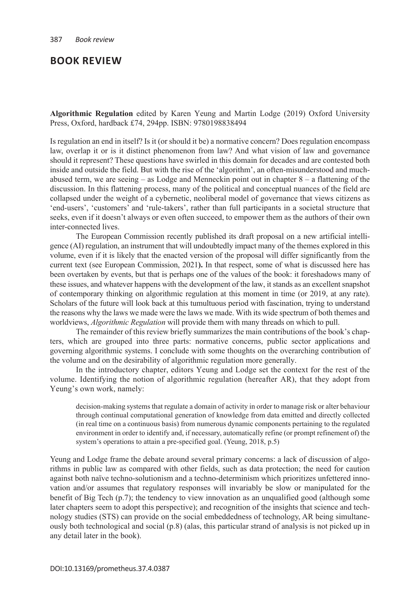## **BOOK REVIEW**

**Algorithmic Regulation** edited by Karen Yeung and Martin Lodge (2019) Oxford University Press, Oxford, hardback £74, 294pp. ISBN: 9780198838494

Is regulation an end in itself? Is it (or should it be) a normative concern? Does regulation encompass law, overlap it or is it distinct phenomenon from law? And what vision of law and governance should it represent? These questions have swirled in this domain for decades and are contested both inside and outside the field. But with the rise of the 'algorithm', an often-misunderstood and muchabused term, we are seeing – as Lodge and Menneckin point out in chapter 8 – a flattening of the discussion. In this flattening process, many of the political and conceptual nuances of the field are collapsed under the weight of a cybernetic, neoliberal model of governance that views citizens as 'end-users', 'customers' and 'rule-takers', rather than full participants in a societal structure that seeks, even if it doesn't always or even often succeed, to empower them as the authors of their own inter-connected lives.

The European Commission recently published its draft proposal on a new artificial intelligence (AI) regulation, an instrument that will undoubtedly impact many of the themes explored in this volume, even if it is likely that the enacted version of the proposal will differ significantly from the current text (see European Commission, 2021**).** In that respect, some of what is discussed here has been overtaken by events, but that is perhaps one of the values of the book: it foreshadows many of these issues, and whatever happens with the development of the law, it stands as an excellent snapshot of contemporary thinking on algorithmic regulation at this moment in time (or 2019, at any rate). Scholars of the future will look back at this tumultuous period with fascination, trying to understand the reasons why the laws we made were the laws we made. With its wide spectrum of both themes and worldviews, *Algorithmic Regulation* will provide them with many threads on which to pull.

The remainder of this review briefly summarizes the main contributions of the book's chapters, which are grouped into three parts: normative concerns, public sector applications and governing algorithmic systems. I conclude with some thoughts on the overarching contribution of the volume and on the desirability of algorithmic regulation more generally.

In the introductory chapter, editors Yeung and Lodge set the context for the rest of the volume. Identifying the notion of algorithmic regulation (hereafter AR), that they adopt from Yeung's own work, namely:

decision-making systems that regulate a domain of activity in order to manage risk or alter behaviour through continual computational generation of knowledge from data emitted and directly collected (in real time on a continuous basis) from numerous dynamic components pertaining to the regulated environment in order to identify and, if necessary, automatically refine (or prompt refinement of) the system's operations to attain a pre-specified goal. (Yeung, 2018, p.5)

Yeung and Lodge frame the debate around several primary concerns: a lack of discussion of algorithms in public law as compared with other fields, such as data protection; the need for caution against both naïve techno-solutionism and a techno-determinism which prioritizes unfettered innovation and/or assumes that regulatory responses will invariably be slow or manipulated for the benefit of Big Tech (p.7); the tendency to view innovation as an unqualified good (although some later chapters seem to adopt this perspective); and recognition of the insights that science and technology studies (STS) can provide on the social embeddedness of technology, AR being simultaneously both technological and social (p.8) (alas, this particular strand of analysis is not picked up in any detail later in the book).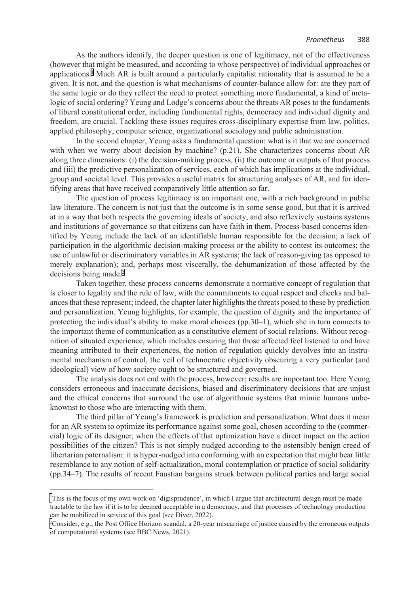As the authors identify, the deeper question is one of legitimacy, not of the effectiveness (however that might be measured, and according to whose perspective) of individual approaches or applications.1 Much AR is built around a particularly capitalist rationality that is assumed to be a given. It is not, and the question is what mechanisms of counter-balance allow for: are they part of the same logic or do they reflect the need to protect something more fundamental, a kind of metalogic of social ordering? Yeung and Lodge's concerns about the threats AR poses to the fundaments of liberal constitutional order, including fundamental rights, democracy and individual dignity and freedom, are crucial. Tackling these issues requires cross-disciplinary expertise from law, politics, applied philosophy, computer science, organizational sociology and public administration.

In the second chapter, Yeung asks a fundamental question: what is it that we are concerned with when we worry about decision by machine? (p.21). She characterizes concerns about AR along three dimensions: (i) the decision-making process, (ii) the outcome or outputs of that process and (iii) the predictive personalization of services, each of which has implications at the individual, group and societal level. This provides a useful matrix for structuring analyses of AR, and for identifying areas that have received comparatively little attention so far.

The question of process legitimacy is an important one, with a rich background in public law literature. The concern is not just that the outcome is in some sense good, but that it is arrived at in a way that both respects the governing ideals of society, and also reflexively sustains systems and institutions of governance so that citizens can have faith in them. Process-based concerns identified by Yeung include the lack of an identifiable human responsible for the decision; a lack of participation in the algorithmic decision-making process or the ability to contest its outcomes; the use of unlawful or discriminatory variables in AR systems; the lack of reason-giving (as opposed to merely explanation); and, perhaps most viscerally, the dehumanization of those affected by the decisions being made.<sup>2</sup>

Taken together, these process concerns demonstrate a normative concept of regulation that is closer to legality and the rule of law, with the commitments to equal respect and checks and balances that these represent; indeed, the chapter later highlights the threats posed to these by prediction and personalization. Yeung highlights, for example, the question of dignity and the importance of protecting the individual's ability to make moral choices (pp.30–1), which she in turn connects to the important theme of communication as a constitutive element of social relations. Without recognition of situated experience, which includes ensuring that those affected feel listened to and have meaning attributed to their experiences, the notion of regulation quickly devolves into an instrumental mechanism of control, the veil of technocratic objectivity obscuring a very particular (and ideological) view of how society ought to be structured and governed.

The analysis does not end with the process, however; results are important too. Here Yeung considers erroneous and inaccurate decisions, biased and discriminatory decisions that are unjust and the ethical concerns that surround the use of algorithmic systems that mimic humans unbeknownst to those who are interacting with them.

The third pillar of Yeung's framework is prediction and personalization. What does it mean for an AR system to optimize its performance against some goal, chosen according to the (commercial) logic of its designer, when the effects of that optimization have a direct impact on the action possibilities of the citizen? This is not simply nudged according to the ostensibly benign creed of libertarian paternalism: it is hyper-nudged into conforming with an expectation that might bear little resemblance to any notion of self-actualization, moral contemplation or practice of social solidarity (pp.34–7). The results of recent Faustian bargains struck between political parties and large social

<sup>1</sup> This is the focus of my own work on 'digisprudence', in which I argue that architectural design must be made tractable to the law if it is to be deemed acceptable in a democracy, and that processes of technology production can be mobilized in service of this goal (see Diver, 2022).

<sup>2</sup> Consider, e.g., the Post Office Horizon scandal, a 20-year miscarriage of justice caused by the erroneous outputs of computational systems (see BBC News, 2021).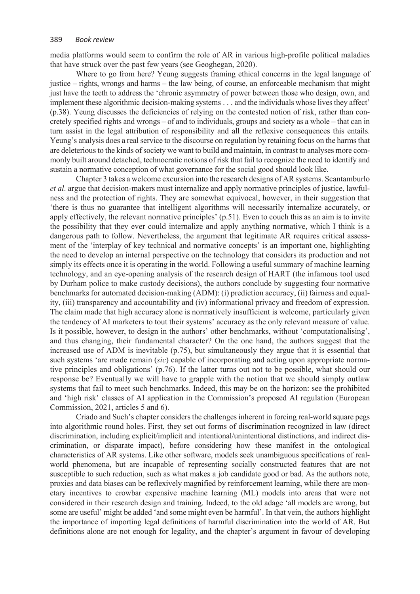media platforms would seem to confirm the role of AR in various high-profile political maladies that have struck over the past few years (see Geoghegan, 2020).

Where to go from here? Yeung suggests framing ethical concerns in the legal language of justice – rights, wrongs and harms – the law being, of course, an enforceable mechanism that might just have the teeth to address the 'chronic asymmetry of power between those who design, own, and implement these algorithmic decision-making systems . . . and the individuals whose lives they affect' (p.38). Yeung discusses the deficiencies of relying on the contested notion of risk, rather than concretely specified rights and wrongs – of and to individuals, groups and society as a whole – that can in turn assist in the legal attribution of responsibility and all the reflexive consequences this entails. Yeung's analysis does a real service to the discourse on regulation by retaining focus on the harms that are deleterious to the kinds of society we want to build and maintain, in contrast to analyses more commonly built around detached, technocratic notions of risk that fail to recognize the need to identify and sustain a normative conception of what governance for the social good should look like.

Chapter 3 takes a welcome excursion into the research designs of AR systems. Scantamburlo *et al*. argue that decision-makers must internalize and apply normative principles of justice, lawfulness and the protection of rights. They are somewhat equivocal, however, in their suggestion that 'there is thus no guarantee that intelligent algorithms will necessarily internalize accurately, or apply effectively, the relevant normative principles' (p.51). Even to couch this as an aim is to invite the possibility that they ever could internalize and apply anything normative, which I think is a dangerous path to follow. Nevertheless, the argument that legitimate AR requires critical assessment of the 'interplay of key technical and normative concepts' is an important one, highlighting the need to develop an internal perspective on the technology that considers its production and not simply its effects once it is operating in the world. Following a useful summary of machine learning technology, and an eye-opening analysis of the research design of HART (the infamous tool used by Durham police to make custody decisions), the authors conclude by suggesting four normative benchmarks for automated decision-making (ADM): (i) prediction accuracy, (ii) fairness and equality, (iii) transparency and accountability and (iv) informational privacy and freedom of expression. The claim made that high accuracy alone is normatively insufficient is welcome, particularly given the tendency of AI marketers to tout their systems' accuracy as the only relevant measure of value. Is it possible, however, to design in the authors' other benchmarks, without 'computationalising', and thus changing, their fundamental character? On the one hand, the authors suggest that the increased use of ADM is inevitable (p.75), but simultaneously they argue that it is essential that such systems 'are made remain (*sic*) capable of incorporating and acting upon appropriate normative principles and obligations' (p.76). If the latter turns out not to be possible, what should our response be? Eventually we will have to grapple with the notion that we should simply outlaw systems that fail to meet such benchmarks. Indeed, this may be on the horizon: see the prohibited and 'high risk' classes of AI application in the Commission's proposed AI regulation (European Commission, 2021, articles 5 and 6).

Criado and Such's chapter considers the challenges inherent in forcing real-world square pegs into algorithmic round holes. First, they set out forms of discrimination recognized in law (direct discrimination, including explicit/implicit and intentional/unintentional distinctions, and indirect discrimination, or disparate impact), before considering how these manifest in the ontological characteristics of AR systems. Like other software, models seek unambiguous specifications of realworld phenomena, but are incapable of representing socially constructed features that are not susceptible to such reduction, such as what makes a job candidate good or bad. As the authors note, proxies and data biases can be reflexively magnified by reinforcement learning, while there are monetary incentives to crowbar expensive machine learning (ML) models into areas that were not considered in their research design and training. Indeed, to the old adage 'all models are wrong, but some are useful' might be added 'and some might even be harmful'. In that vein, the authors highlight the importance of importing legal definitions of harmful discrimination into the world of AR. But definitions alone are not enough for legality, and the chapter's argument in favour of developing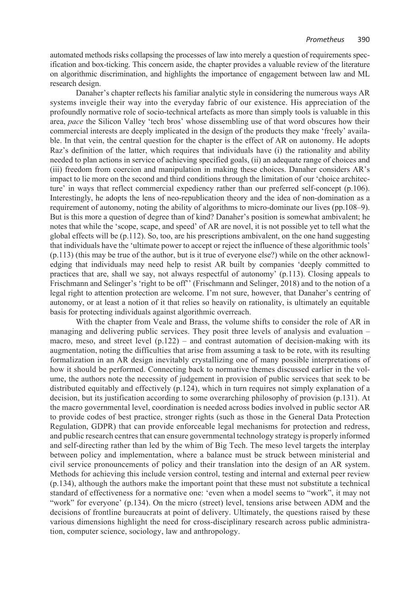automated methods risks collapsing the processes of law into merely a question of requirements specification and box-ticking. This concern aside, the chapter provides a valuable review of the literature on algorithmic discrimination, and highlights the importance of engagement between law and ML research design.

Danaher's chapter reflects his familiar analytic style in considering the numerous ways AR systems inveigle their way into the everyday fabric of our existence. His appreciation of the profoundly normative role of socio-technical artefacts as more than simply tools is valuable in this area, *pace* the Silicon Valley 'tech bros' whose dissembling use of that word obscures how their commercial interests are deeply implicated in the design of the products they make 'freely' available. In that vein, the central question for the chapter is the effect of AR on autonomy. He adopts Raz's definition of the latter, which requires that individuals have (i) the rationality and ability needed to plan actions in service of achieving specified goals, (ii) an adequate range of choices and (iii) freedom from coercion and manipulation in making these choices. Danaher considers AR's impact to lie more on the second and third conditions through the limitation of our 'choice architecture' in ways that reflect commercial expediency rather than our preferred self-concept (p.106). Interestingly, he adopts the lens of neo-republication theory and the idea of non-domination as a requirement of autonomy, noting the ability of algorithms to micro-dominate our lives (pp.108–9). But is this more a question of degree than of kind? Danaher's position is somewhat ambivalent; he notes that while the 'scope, scape, and speed' of AR are novel, it is not possible yet to tell what the global effects will be (p.112). So, too, are his prescriptions ambivalent, on the one hand suggesting that individuals have the 'ultimate power to accept or reject the influence of these algorithmic tools' (p.113) (this may be true of the author, but is it true of everyone else?) while on the other acknowledging that individuals may need help to resist AR built by companies 'deeply committed to practices that are, shall we say, not always respectful of autonomy' (p.113). Closing appeals to Frischmann and Selinger's 'right to be off'' (Frischmann and Selinger, 2018) and to the notion of a legal right to attention protection are welcome. I'm not sure, however, that Danaher's centring of autonomy, or at least a notion of it that relies so heavily on rationality, is ultimately an equitable basis for protecting individuals against algorithmic overreach.

With the chapter from Veale and Brass, the volume shifts to consider the role of AR in managing and delivering public services. They posit three levels of analysis and evaluation – macro, meso, and street level  $(p.122)$  – and contrast automation of decision-making with its augmentation, noting the difficulties that arise from assuming a task to be rote, with its resulting formalization in an AR design inevitably crystallizing one of many possible interpretations of how it should be performed. Connecting back to normative themes discussed earlier in the volume, the authors note the necessity of judgement in provision of public services that seek to be distributed equitably and effectively (p.124), which in turn requires not simply explanation of a decision, but its justification according to some overarching philosophy of provision (p.131). At the macro governmental level, coordination is needed across bodies involved in public sector AR to provide codes of best practice, stronger rights (such as those in the General Data Protection Regulation, GDPR) that can provide enforceable legal mechanisms for protection and redress, and public research centres that can ensure governmental technology strategy is properly informed and self-directing rather than led by the whim of Big Tech. The meso level targets the interplay between policy and implementation, where a balance must be struck between ministerial and civil service pronouncements of policy and their translation into the design of an AR system. Methods for achieving this include version control, testing and internal and external peer review (p.134), although the authors make the important point that these must not substitute a technical standard of effectiveness for a normative one: 'even when a model seems to "work", it may not "work" for everyone' (p.134). On the micro (street) level, tensions arise between ADM and the decisions of frontline bureaucrats at point of delivery. Ultimately, the questions raised by these various dimensions highlight the need for cross-disciplinary research across public administration, computer science, sociology, law and anthropology.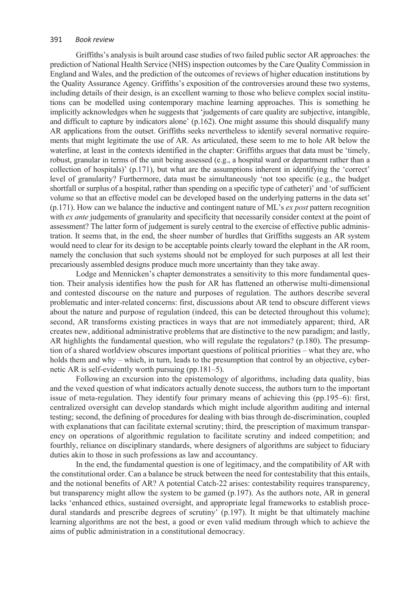## 391 *Book review*

Griffiths's analysis is built around case studies of two failed public sector AR approaches: the prediction of National Health Service (NHS) inspection outcomes by the Care Quality Commission in England and Wales, and the prediction of the outcomes of reviews of higher education institutions by the Quality Assurance Agency. Griffiths's exposition of the controversies around these two systems, including details of their design, is an excellent warning to those who believe complex social institutions can be modelled using contemporary machine learning approaches. This is something he implicitly acknowledges when he suggests that 'judgements of care quality are subjective, intangible, and difficult to capture by indicators alone' (p.162). One might assume this should disqualify many AR applications from the outset. Griffiths seeks nevertheless to identify several normative requirements that might legitimate the use of AR. As articulated, these seem to me to hole AR below the waterline, at least in the contexts identified in the chapter: Griffiths argues that data must be 'timely, robust, granular in terms of the unit being assessed (e.g., a hospital ward or department rather than a collection of hospitals)' (p.171), but what are the assumptions inherent in identifying the 'correct' level of granularity? Furthermore, data must be simultaneously 'not too specific (e.g., the budget shortfall or surplus of a hospital, rather than spending on a specific type of catheter)' and 'of sufficient volume so that an effective model can be developed based on the underlying patterns in the data set' (p.171). How can we balance the inductive and contingent nature of ML's *ex post* pattern recognition with *ex ante* judgements of granularity and specificity that necessarily consider context at the point of assessment? The latter form of judgement is surely central to the exercise of effective public administration. It seems that, in the end, the sheer number of hurdles that Griffiths suggests an AR system would need to clear for its design to be acceptable points clearly toward the elephant in the AR room, namely the conclusion that such systems should not be employed for such purposes at all lest their precariously assembled designs produce much more uncertainty than they take away.

Lodge and Mennicken's chapter demonstrates a sensitivity to this more fundamental question. Their analysis identifies how the push for AR has flattened an otherwise multi-dimensional and contested discourse on the nature and purposes of regulation. The authors describe several problematic and inter-related concerns: first, discussions about AR tend to obscure different views about the nature and purpose of regulation (indeed, this can be detected throughout this volume); second, AR transforms existing practices in ways that are not immediately apparent; third, AR creates new, additional administrative problems that are distinctive to the new paradigm; and lastly, AR highlights the fundamental question, who will regulate the regulators? (p.180). The presumption of a shared worldview obscures important questions of political priorities – what they are, who holds them and why – which, in turn, leads to the presumption that control by an objective, cybernetic AR is self-evidently worth pursuing (pp.181–5).

Following an excursion into the epistemology of algorithms, including data quality, bias and the vexed question of what indicators actually denote success, the authors turn to the important issue of meta-regulation. They identify four primary means of achieving this (pp.195–6): first, centralized oversight can develop standards which might include algorithm auditing and internal testing; second, the defining of procedures for dealing with bias through de-discrimination, coupled with explanations that can facilitate external scrutiny; third, the prescription of maximum transparency on operations of algorithmic regulation to facilitate scrutiny and indeed competition; and fourthly, reliance on disciplinary standards, where designers of algorithms are subject to fiduciary duties akin to those in such professions as law and accountancy.

In the end, the fundamental question is one of legitimacy, and the compatibility of AR with the constitutional order. Can a balance be struck between the need for contestability that this entails, and the notional benefits of AR? A potential Catch-22 arises: contestability requires transparency, but transparency might allow the system to be gamed (p.197). As the authors note, AR in general lacks 'enhanced ethics, sustained oversight, and appropriate legal frameworks to establish procedural standards and prescribe degrees of scrutiny' (p.197). It might be that ultimately machine learning algorithms are not the best, a good or even valid medium through which to achieve the aims of public administration in a constitutional democracy.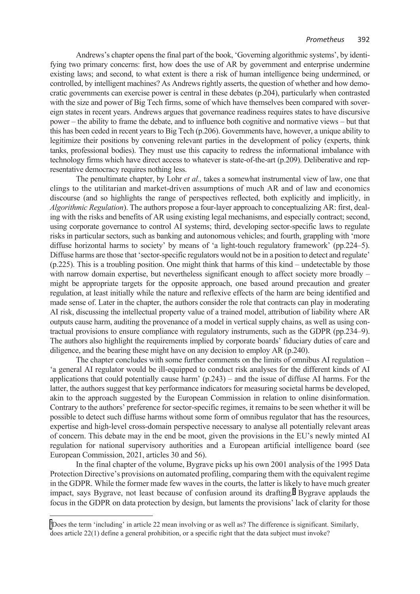Andrews's chapter opens the final part of the book, 'Governing algorithmic systems', by identifying two primary concerns: first, how does the use of AR by government and enterprise undermine existing laws; and second, to what extent is there a risk of human intelligence being undermined, or controlled, by intelligent machines? As Andrews rightly asserts, the question of whether and how democratic governments can exercise power is central in these debates (p.204), particularly when contrasted with the size and power of Big Tech firms, some of which have themselves been compared with sovereign states in recent years. Andrews argues that governance readiness requires states to have discursive power – the ability to frame the debate, and to influence both cognitive and normative views – but that this has been ceded in recent years to Big Tech (p.206). Governments have, however, a unique ability to legitimize their positions by convening relevant parties in the development of policy (experts, think tanks, professional bodies). They must use this capacity to redress the informational imbalance with technology firms which have direct access to whatever is state-of-the-art (p.209). Deliberative and representative democracy requires nothing less.

The penultimate chapter, by Lohr *et al.,* takes a somewhat instrumental view of law, one that clings to the utilitarian and market-driven assumptions of much AR and of law and economics discourse (and so highlights the range of perspectives reflected, both explicitly and implicitly, in *Algorithmic Regulation*). The authors propose a four-layer approach to conceptualizing AR: first, dealing with the risks and benefits of AR using existing legal mechanisms, and especially contract; second, using corporate governance to control AI systems; third, developing sector-specific laws to regulate risks in particular sectors, such as banking and autonomous vehicles; and fourth, grappling with 'more diffuse horizontal harms to society' by means of 'a light-touch regulatory framework' (pp.224–5). Diffuse harms are those that 'sector-specific regulators would not be in a position to detect and regulate' (p.225). This is a troubling position. One might think that harms of this kind – undetectable by those with narrow domain expertise, but nevertheless significant enough to affect society more broadly – might be appropriate targets for the opposite approach, one based around precaution and greater regulation, at least initially while the nature and reflexive effects of the harm are being identified and made sense of. Later in the chapter, the authors consider the role that contracts can play in moderating AI risk, discussing the intellectual property value of a trained model, attribution of liability where AR outputs cause harm, auditing the provenance of a model in vertical supply chains, as well as using contractual provisions to ensure compliance with regulatory instruments, such as the GDPR (pp.234–9). The authors also highlight the requirements implied by corporate boards' fiduciary duties of care and diligence, and the bearing these might have on any decision to employ AR (p.240).

The chapter concludes with some further comments on the limits of omnibus AI regulation – 'a general AI regulator would be ill-equipped to conduct risk analyses for the different kinds of AI applications that could potentially cause harm' (p.243) – and the issue of diffuse AI harms. For the latter, the authors suggest that key performance indicators for measuring societal harms be developed, akin to the approach suggested by the European Commission in relation to online disinformation. Contrary to the authors' preference for sector-specific regimes, it remains to be seen whether it will be possible to detect such diffuse harms without some form of omnibus regulator that has the resources, expertise and high-level cross-domain perspective necessary to analyse all potentially relevant areas of concern. This debate may in the end be moot, given the provisions in the EU's newly minted AI regulation for national supervisory authorities and a European artificial intelligence board (see European Commission, 2021, articles 30 and 56).

In the final chapter of the volume, Bygrave picks up his own 2001 analysis of the 1995 Data Protection Directive's provisions on automated profiling, comparing them with the equivalent regime in the GDPR. While the former made few waves in the courts, the latter is likely to have much greater impact, says Bygrave, not least because of confusion around its drafting.<sup>3</sup> Bygrave applauds the focus in the GDPR on data protection by design, but laments the provisions' lack of clarity for those

[<sup>3</sup>](#page-6-0) Does the term 'including' in article 22 mean involving or as well as? The difference is significant. Similarly, does article 22(1) define a general prohibition, or a specific right that the data subject must invoke?